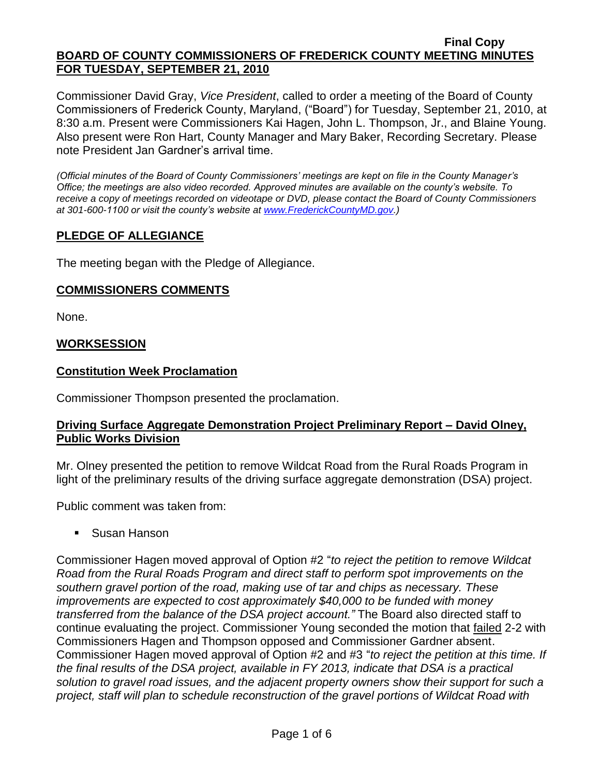Commissioner David Gray, *Vice President*, called to order a meeting of the Board of County Commissioners of Frederick County, Maryland, ("Board") for Tuesday, September 21, 2010, at 8:30 a.m. Present were Commissioners Kai Hagen, John L. Thompson, Jr., and Blaine Young. Also present were Ron Hart, County Manager and Mary Baker, Recording Secretary. Please note President Jan Gardner's arrival time.

*(Official minutes of the Board of County Commissioners' meetings are kept on file in the County Manager's Office; the meetings are also video recorded. Approved minutes are available on the county's website. To receive a copy of meetings recorded on videotape or DVD, please contact the Board of County Commissioners at 301-600-1100 or visit the county's website at [www.FrederickCountyMD.gov.](http://www.frederickcountymd.gov/))*

## **PLEDGE OF ALLEGIANCE**

The meeting began with the Pledge of Allegiance.

### **COMMISSIONERS COMMENTS**

None.

#### **WORKSESSION**

#### **Constitution Week Proclamation**

Commissioner Thompson presented the proclamation.

### **Driving Surface Aggregate Demonstration Project Preliminary Report – David Olney, Public Works Division**

Mr. Olney presented the petition to remove Wildcat Road from the Rural Roads Program in light of the preliminary results of the driving surface aggregate demonstration (DSA) project.

Public comment was taken from:

■ Susan Hanson

Commissioner Hagen moved approval of Option #2 "*to reject the petition to remove Wildcat Road from the Rural Roads Program and direct staff to perform spot improvements on the southern gravel portion of the road, making use of tar and chips as necessary. These improvements are expected to cost approximately \$40,000 to be funded with money transferred from the balance of the DSA project account."* The Board also directed staff to continue evaluating the project. Commissioner Young seconded the motion that failed 2-2 with Commissioners Hagen and Thompson opposed and Commissioner Gardner absent. Commissioner Hagen moved approval of Option #2 and #3 "*to reject the petition at this time. If the final results of the DSA project, available in FY 2013, indicate that DSA is a practical solution to gravel road issues, and the adjacent property owners show their support for such a project, staff will plan to schedule reconstruction of the gravel portions of Wildcat Road with*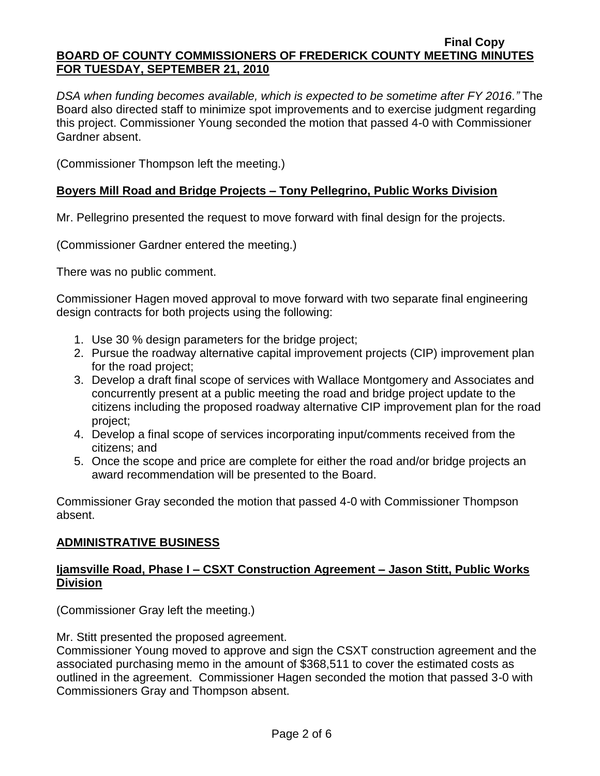*DSA when funding becomes available, which is expected to be sometime after FY 2016."* The Board also directed staff to minimize spot improvements and to exercise judgment regarding this project. Commissioner Young seconded the motion that passed 4-0 with Commissioner Gardner absent.

(Commissioner Thompson left the meeting.)

## **Boyers Mill Road and Bridge Projects – Tony Pellegrino, Public Works Division**

Mr. Pellegrino presented the request to move forward with final design for the projects.

(Commissioner Gardner entered the meeting.)

There was no public comment.

Commissioner Hagen moved approval to move forward with two separate final engineering design contracts for both projects using the following:

- 1. Use 30 % design parameters for the bridge project;
- 2. Pursue the roadway alternative capital improvement projects (CIP) improvement plan for the road project;
- 3. Develop a draft final scope of services with Wallace Montgomery and Associates and concurrently present at a public meeting the road and bridge project update to the citizens including the proposed roadway alternative CIP improvement plan for the road project;
- 4. Develop a final scope of services incorporating input/comments received from the citizens; and
- 5. Once the scope and price are complete for either the road and/or bridge projects an award recommendation will be presented to the Board.

Commissioner Gray seconded the motion that passed 4-0 with Commissioner Thompson absent.

## **ADMINISTRATIVE BUSINESS**

## **Ijamsville Road, Phase I – CSXT Construction Agreement – Jason Stitt, Public Works Division**

(Commissioner Gray left the meeting.)

Mr. Stitt presented the proposed agreement.

Commissioner Young moved to approve and sign the CSXT construction agreement and the associated purchasing memo in the amount of \$368,511 to cover the estimated costs as outlined in the agreement. Commissioner Hagen seconded the motion that passed 3-0 with Commissioners Gray and Thompson absent.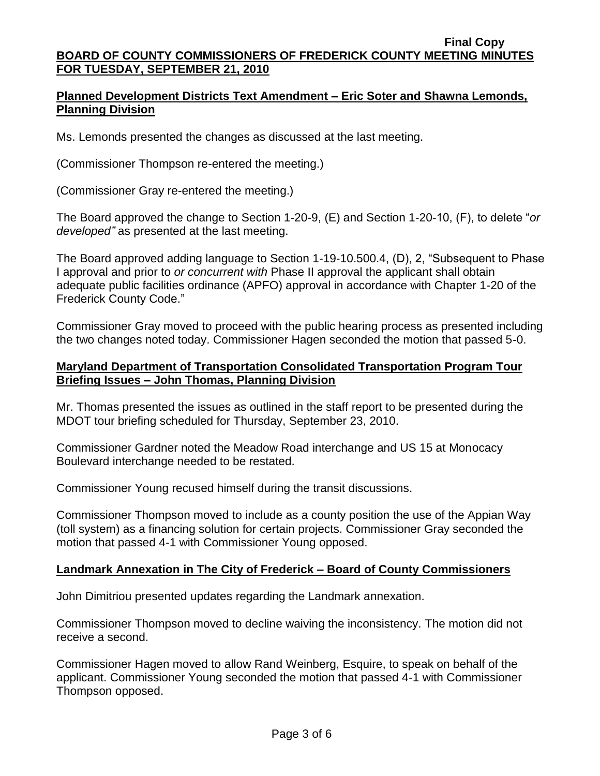## **Planned Development Districts Text Amendment – Eric Soter and Shawna Lemonds, Planning Division**

Ms. Lemonds presented the changes as discussed at the last meeting.

(Commissioner Thompson re-entered the meeting.)

(Commissioner Gray re-entered the meeting.)

The Board approved the change to Section 1-20-9, (E) and Section 1-20-10, (F), to delete "*or developed"* as presented at the last meeting.

The Board approved adding language to Section 1-19-10.500.4, (D), 2, "Subsequent to Phase I approval and prior to *or concurrent with* Phase II approval the applicant shall obtain adequate public facilities ordinance (APFO) approval in accordance with Chapter 1-20 of the Frederick County Code."

Commissioner Gray moved to proceed with the public hearing process as presented including the two changes noted today. Commissioner Hagen seconded the motion that passed 5-0.

## **Maryland Department of Transportation Consolidated Transportation Program Tour Briefing Issues – John Thomas, Planning Division**

Mr. Thomas presented the issues as outlined in the staff report to be presented during the MDOT tour briefing scheduled for Thursday, September 23, 2010.

Commissioner Gardner noted the Meadow Road interchange and US 15 at Monocacy Boulevard interchange needed to be restated.

Commissioner Young recused himself during the transit discussions.

Commissioner Thompson moved to include as a county position the use of the Appian Way (toll system) as a financing solution for certain projects. Commissioner Gray seconded the motion that passed 4-1 with Commissioner Young opposed.

## **Landmark Annexation in The City of Frederick – Board of County Commissioners**

John Dimitriou presented updates regarding the Landmark annexation.

Commissioner Thompson moved to decline waiving the inconsistency. The motion did not receive a second.

Commissioner Hagen moved to allow Rand Weinberg, Esquire, to speak on behalf of the applicant. Commissioner Young seconded the motion that passed 4-1 with Commissioner Thompson opposed.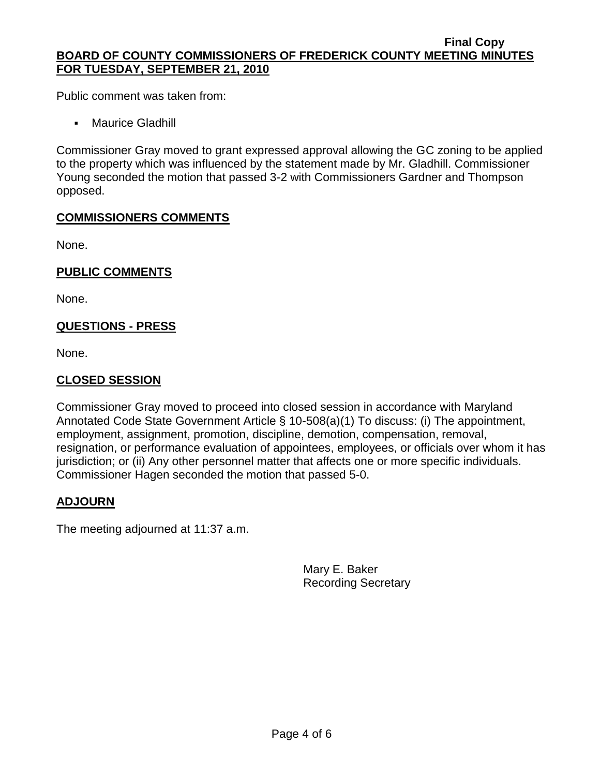Public comment was taken from:

• Maurice Gladhill

Commissioner Gray moved to grant expressed approval allowing the GC zoning to be applied to the property which was influenced by the statement made by Mr. Gladhill. Commissioner Young seconded the motion that passed 3-2 with Commissioners Gardner and Thompson opposed.

## **COMMISSIONERS COMMENTS**

None.

### **PUBLIC COMMENTS**

None.

## **QUESTIONS - PRESS**

None.

## **CLOSED SESSION**

Commissioner Gray moved to proceed into closed session in accordance with Maryland Annotated Code State Government Article § 10-508(a)(1) To discuss: (i) The appointment, employment, assignment, promotion, discipline, demotion, compensation, removal, resignation, or performance evaluation of appointees, employees, or officials over whom it has jurisdiction; or (ii) Any other personnel matter that affects one or more specific individuals. Commissioner Hagen seconded the motion that passed 5-0.

## **ADJOURN**

The meeting adjourned at 11:37 a.m.

Mary E. Baker Recording Secretary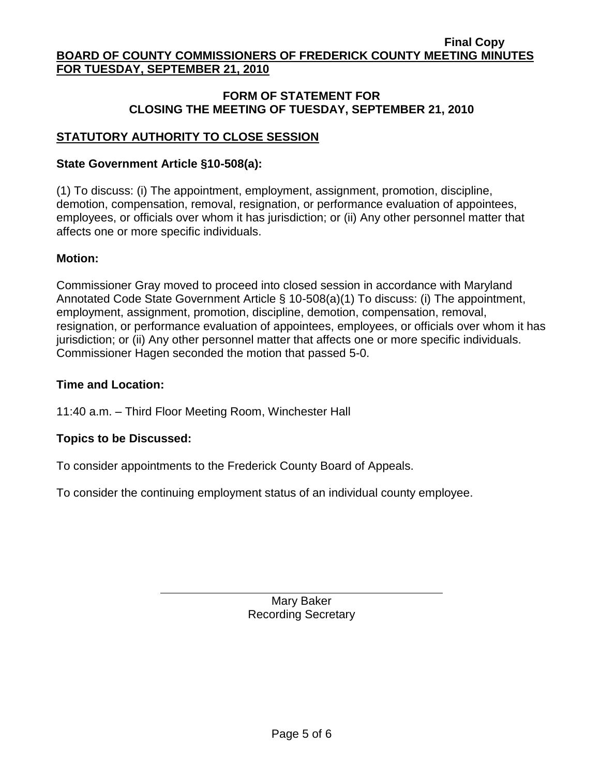## **FORM OF STATEMENT FOR CLOSING THE MEETING OF TUESDAY, SEPTEMBER 21, 2010**

## **STATUTORY AUTHORITY TO CLOSE SESSION**

## **State Government Article §10-508(a):**

(1) To discuss: (i) The appointment, employment, assignment, promotion, discipline, demotion, compensation, removal, resignation, or performance evaluation of appointees, employees, or officials over whom it has jurisdiction; or (ii) Any other personnel matter that affects one or more specific individuals.

### **Motion:**

Commissioner Gray moved to proceed into closed session in accordance with Maryland Annotated Code State Government Article § 10-508(a)(1) To discuss: (i) The appointment, employment, assignment, promotion, discipline, demotion, compensation, removal, resignation, or performance evaluation of appointees, employees, or officials over whom it has jurisdiction; or (ii) Any other personnel matter that affects one or more specific individuals. Commissioner Hagen seconded the motion that passed 5-0.

## **Time and Location:**

11:40 a.m. – Third Floor Meeting Room, Winchester Hall

### **Topics to be Discussed:**

To consider appointments to the Frederick County Board of Appeals.

To consider the continuing employment status of an individual county employee.

Mary Baker Recording Secretary